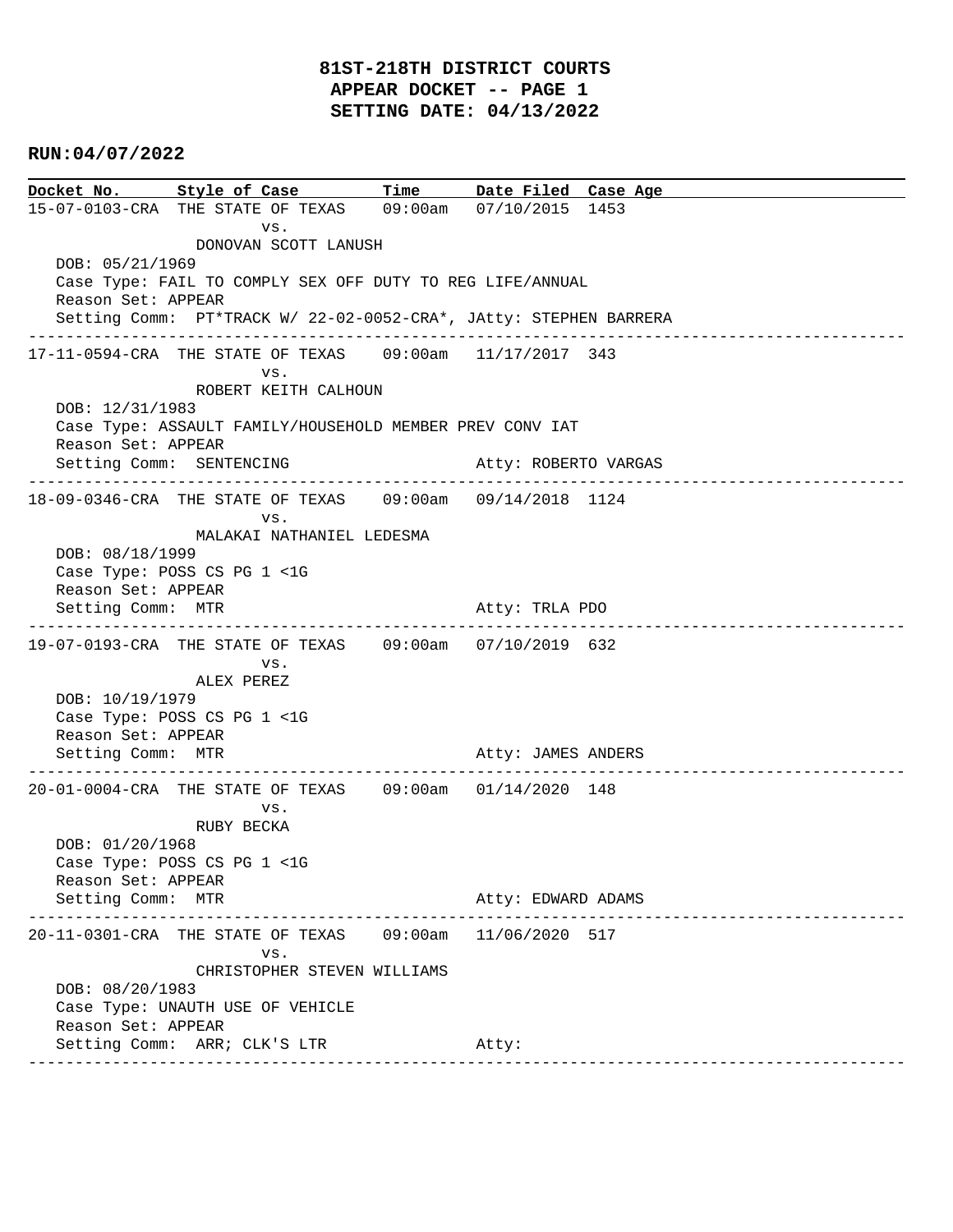## **81ST-218TH DISTRICT COURTS APPEAR DOCKET -- PAGE 1 SETTING DATE: 04/13/2022**

#### **RUN:04/07/2022**

**Docket No. Style of Case Time Date Filed Case Age**  15-07-0103-CRA THE STATE OF TEXAS 09:00am 07/10/2015 1453 vs. DONOVAN SCOTT LANUSH DOB: 05/21/1969 Case Type: FAIL TO COMPLY SEX OFF DUTY TO REG LIFE/ANNUAL Reason Set: APPEAR Setting Comm: PT\*TRACK W/ 22-02-0052-CRA\*, JAtty: STEPHEN BARRERA ---------------------------------------------------------------------------------------------- 17-11-0594-CRA THE STATE OF TEXAS 09:00am 11/17/2017 343 vs. ROBERT KEITH CALHOUN DOB: 12/31/1983 Case Type: ASSAULT FAMILY/HOUSEHOLD MEMBER PREV CONV IAT Reason Set: APPEAR Setting Comm: SENTENCING Atty: ROBERTO VARGAS ---------------------------------------------------------------------------------------------- 18-09-0346-CRA THE STATE OF TEXAS 09:00am 09/14/2018 1124 vs. MALAKAI NATHANIEL LEDESMA DOB: 08/18/1999 Case Type: POSS CS PG 1 <1G Reason Set: APPEAR Setting Comm: MTR Atty: TRLA PDO ---------------------------------------------------------------------------------------------- 19-07-0193-CRA THE STATE OF TEXAS 09:00am 07/10/2019 632 vs. ALEX PEREZ DOB: 10/19/1979 Case Type: POSS CS PG 1 <1G Reason Set: APPEAR Setting Comm: MTR Atty: JAMES ANDERS ---------------------------------------------------------------------------------------------- 20-01-0004-CRA THE STATE OF TEXAS 09:00am 01/14/2020 148 vs. RUBY BECKA DOB: 01/20/1968 Case Type: POSS CS PG 1 <1G Reason Set: APPEAR Setting Comm: MTR Atty: EDWARD ADAMS ---------------------------------------------------------------------------------------------- 20-11-0301-CRA THE STATE OF TEXAS 09:00am 11/06/2020 517 vs. CHRISTOPHER STEVEN WILLIAMS DOB: 08/20/1983 Case Type: UNAUTH USE OF VEHICLE Reason Set: APPEAR Setting Comm: ARR; CLK'S LTR Atty: ----------------------------------------------------------------------------------------------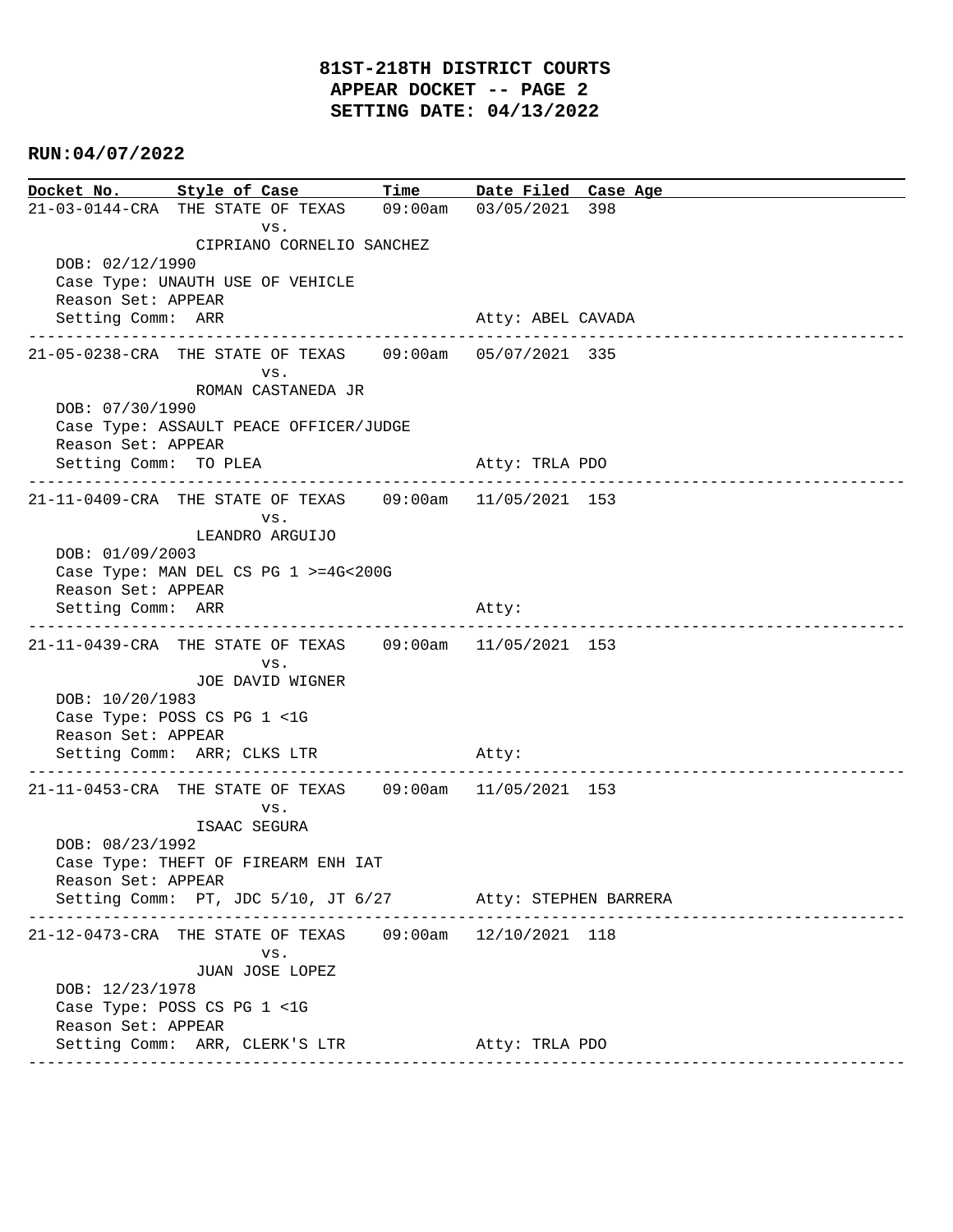**Docket No. Style of Case Time Date Filed Case Age**  21-03-0144-CRA THE STATE OF TEXAS 09:00am 03/05/2021 398 vs. CIPRIANO CORNELIO SANCHEZ DOB: 02/12/1990 Case Type: UNAUTH USE OF VEHICLE Reason Set: APPEAR Setting Comm: ARR Atty: ABEL CAVADA ---------------------------------------------------------------------------------------------- 21-05-0238-CRA THE STATE OF TEXAS 09:00am 05/07/2021 335 vs. ROMAN CASTANEDA JR DOB: 07/30/1990 Case Type: ASSAULT PEACE OFFICER/JUDGE Reason Set: APPEAR Setting Comm: TO PLEA Atty: TRLA PDO ---------------------------------------------------------------------------------------------- 21-11-0409-CRA THE STATE OF TEXAS 09:00am 11/05/2021 153 vs. LEANDRO ARGUIJO DOB: 01/09/2003 Case Type: MAN DEL CS PG 1 >=4G<200G Reason Set: APPEAR Setting Comm: ARR Atty: ---------------------------------------------------------------------------------------------- 21-11-0439-CRA THE STATE OF TEXAS 09:00am 11/05/2021 153 vs. JOE DAVID WIGNER DOB: 10/20/1983 Case Type: POSS CS PG 1 <1G Reason Set: APPEAR Setting Comm: ARR; CLKS LTR Atty: ---------------------------------------------------------------------------------------------- 21-11-0453-CRA THE STATE OF TEXAS 09:00am 11/05/2021 153 vs. ISAAC SEGURA DOB: 08/23/1992 Case Type: THEFT OF FIREARM ENH IAT Reason Set: APPEAR Setting Comm: PT, JDC 5/10, JT 6/27 Atty: STEPHEN BARRERA ---------------------------------------------------------------------------------------------- 21-12-0473-CRA THE STATE OF TEXAS 09:00am 12/10/2021 118 vs. JUAN JOSE LOPEZ DOB: 12/23/1978 Case Type: POSS CS PG 1 <1G Reason Set: APPEAR Setting Comm: ARR, CLERK'S LTR Atty: TRLA PDO ----------------------------------------------------------------------------------------------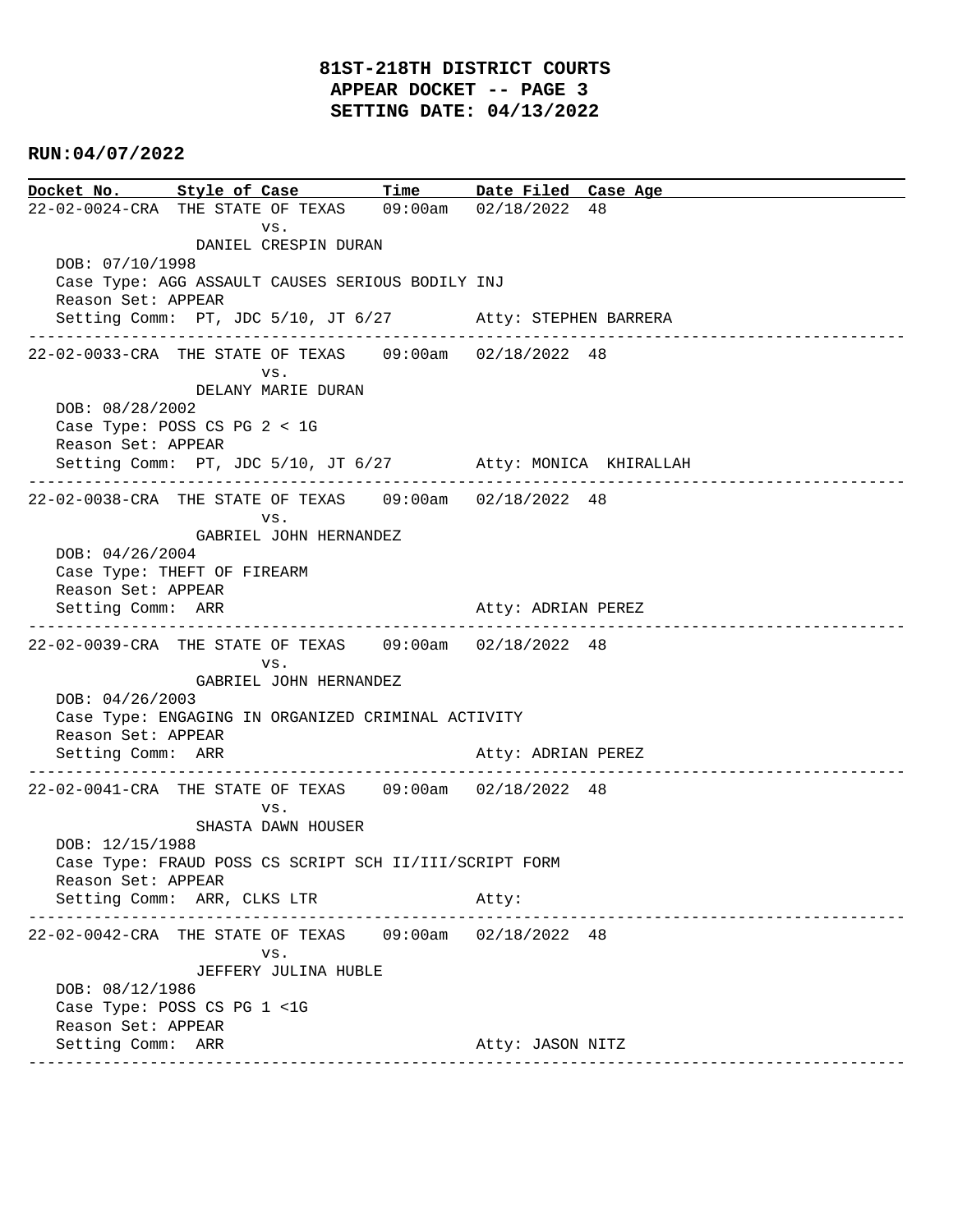## **81ST-218TH DISTRICT COURTS APPEAR DOCKET -- PAGE 3 SETTING DATE: 04/13/2022**

#### **RUN:04/07/2022**

**Docket No. Style of Case Time Date Filed Case Age**  22-02-0024-CRA THE STATE OF TEXAS 09:00am 02/18/2022 48 vs. DANIEL CRESPIN DURAN DOB: 07/10/1998 Case Type: AGG ASSAULT CAUSES SERIOUS BODILY INJ Reason Set: APPEAR Setting Comm: PT, JDC 5/10, JT 6/27 Atty: STEPHEN BARRERA ---------------------------------------------------------------------------------------------- 22-02-0033-CRA THE STATE OF TEXAS 09:00am 02/18/2022 48 vs. DELANY MARIE DURAN DOB: 08/28/2002 Case Type: POSS CS PG 2 < 1G Reason Set: APPEAR Setting Comm: PT, JDC 5/10, JT 6/27 Atty: MONICA KHIRALLAH ---------------------------------------------------------------------------------------------- 22-02-0038-CRA THE STATE OF TEXAS 09:00am 02/18/2022 48 vs. GABRIEL JOHN HERNANDEZ DOB: 04/26/2004 Case Type: THEFT OF FIREARM Reason Set: APPEAR Setting Comm: ARR Atty: ADRIAN PEREZ ---------------------------------------------------------------------------------------------- 22-02-0039-CRA THE STATE OF TEXAS 09:00am 02/18/2022 48 vs. GABRIEL JOHN HERNANDEZ DOB: 04/26/2003 Case Type: ENGAGING IN ORGANIZED CRIMINAL ACTIVITY Reason Set: APPEAR Setting Comm: ARR Atty: ADRIAN PEREZ ---------------------------------------------------------------------------------------------- 22-02-0041-CRA THE STATE OF TEXAS 09:00am 02/18/2022 48 vs. SHASTA DAWN HOUSER DOB: 12/15/1988 Case Type: FRAUD POSS CS SCRIPT SCH II/III/SCRIPT FORM Reason Set: APPEAR Setting Comm: ARR, CLKS LTR Atty: ---------------------------------------------------------------------------------------------- 22-02-0042-CRA THE STATE OF TEXAS 09:00am 02/18/2022 48 vs. JEFFERY JULINA HUBLE DOB: 08/12/1986 Case Type: POSS CS PG 1 <1G Reason Set: APPEAR Setting Comm: ARR Atty: JASON NITZ ----------------------------------------------------------------------------------------------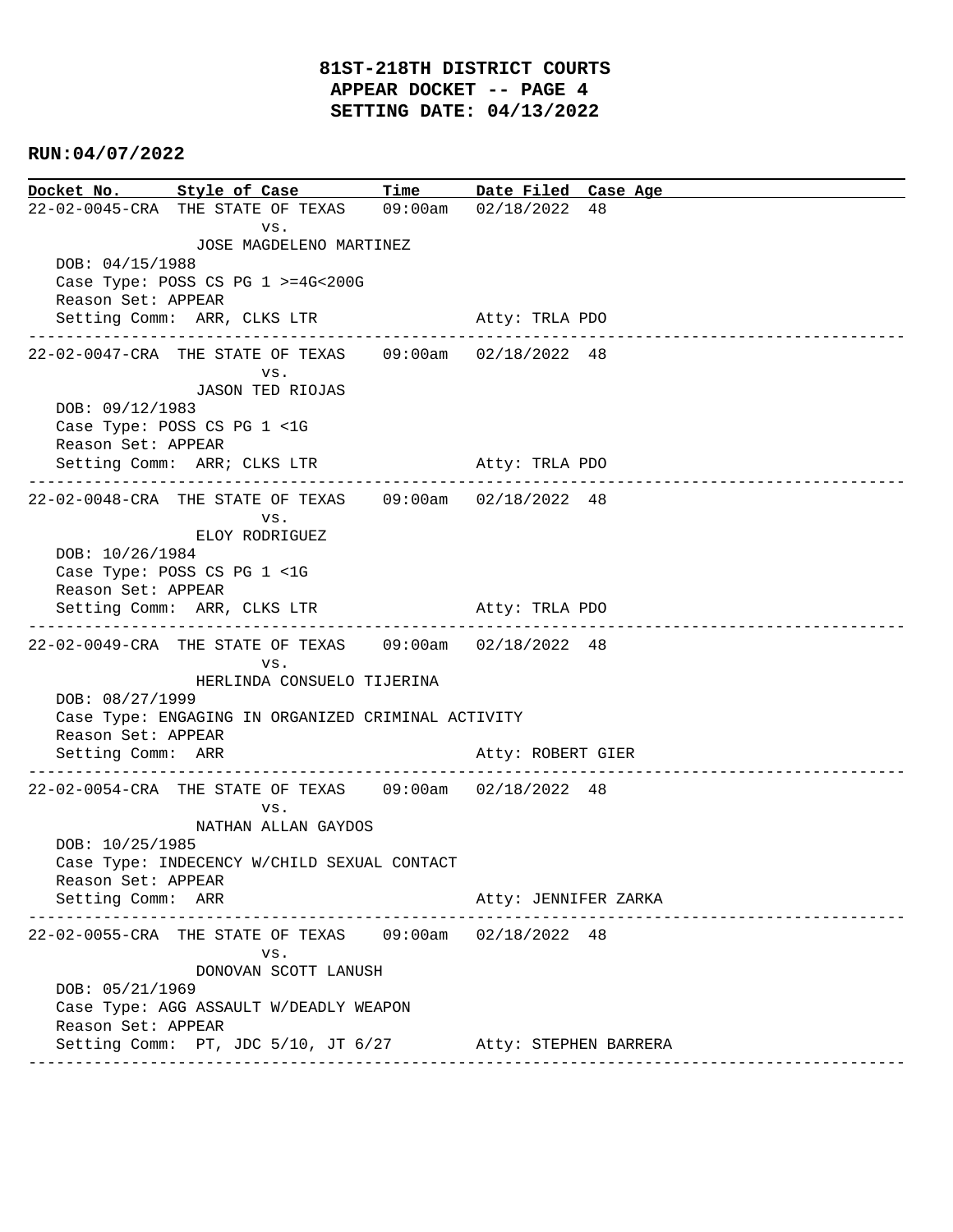## **81ST-218TH DISTRICT COURTS APPEAR DOCKET -- PAGE 4 SETTING DATE: 04/13/2022**

#### **RUN:04/07/2022**

**Docket No. Style of Case Time Date Filed Case Age**  22-02-0045-CRA THE STATE OF TEXAS 09:00am 02/18/2022 48 vs. JOSE MAGDELENO MARTINEZ DOB: 04/15/1988 Case Type: POSS CS PG 1 >=4G<200G Reason Set: APPEAR Setting Comm: ARR, CLKS LTR Atty: TRLA PDO ---------------------------------------------------------------------------------------------- 22-02-0047-CRA THE STATE OF TEXAS 09:00am 02/18/2022 48 vs. JASON TED RIOJAS DOB: 09/12/1983 Case Type: POSS CS PG 1 <1G Reason Set: APPEAR Setting Comm: ARR; CLKS LTR Atty: TRLA PDO ---------------------------------------------------------------------------------------------- 22-02-0048-CRA THE STATE OF TEXAS 09:00am 02/18/2022 48 vs. ELOY RODRIGUEZ DOB: 10/26/1984 Case Type: POSS CS PG 1 <1G Reason Set: APPEAR Setting Comm: ARR, CLKS LTR Atty: TRLA PDO ---------------------------------------------------------------------------------------------- 22-02-0049-CRA THE STATE OF TEXAS 09:00am 02/18/2022 48 vs. HERLINDA CONSUELO TIJERINA DOB: 08/27/1999 Case Type: ENGAGING IN ORGANIZED CRIMINAL ACTIVITY Reason Set: APPEAR Setting Comm: ARR Atty: ROBERT GIER ---------------------------------------------------------------------------------------------- 22-02-0054-CRA THE STATE OF TEXAS 09:00am 02/18/2022 48 vs. NATHAN ALLAN GAYDOS DOB: 10/25/1985 Case Type: INDECENCY W/CHILD SEXUAL CONTACT Reason Set: APPEAR Setting Comm: ARR Atty: JENNIFER ZARKA ---------------------------------------------------------------------------------------------- 22-02-0055-CRA THE STATE OF TEXAS 09:00am 02/18/2022 48 vs. DONOVAN SCOTT LANUSH DOB: 05/21/1969 Case Type: AGG ASSAULT W/DEADLY WEAPON Reason Set: APPEAR Setting Comm: PT, JDC 5/10, JT 6/27 Atty: STEPHEN BARRERA ----------------------------------------------------------------------------------------------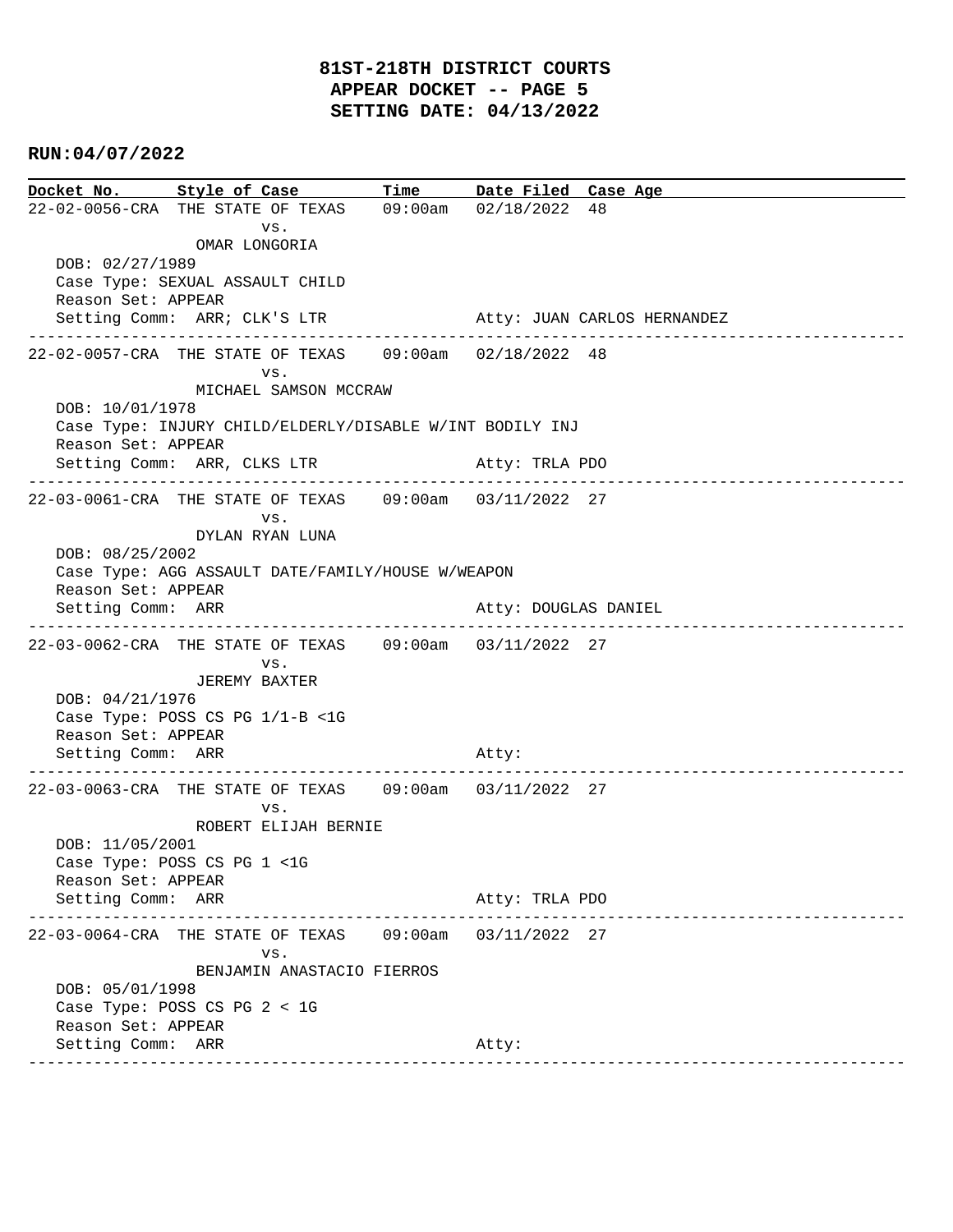**Docket No. Style of Case Time Date Filed Case Age**  22-02-0056-CRA THE STATE OF TEXAS 09:00am 02/18/2022 48 vs. OMAR LONGORIA DOB: 02/27/1989 Case Type: SEXUAL ASSAULT CHILD Reason Set: APPEAR Setting Comm: ARR; CLK'S LTR Atty: JUAN CARLOS HERNANDEZ ---------------------------------------------------------------------------------------------- 22-02-0057-CRA THE STATE OF TEXAS 09:00am 02/18/2022 48 vs. MICHAEL SAMSON MCCRAW DOB: 10/01/1978 Case Type: INJURY CHILD/ELDERLY/DISABLE W/INT BODILY INJ Reason Set: APPEAR Setting Comm: ARR, CLKS LTR Atty: TRLA PDO ---------------------------------------------------------------------------------------------- 22-03-0061-CRA THE STATE OF TEXAS 09:00am 03/11/2022 27 vs. DYLAN RYAN LUNA DOB: 08/25/2002 Case Type: AGG ASSAULT DATE/FAMILY/HOUSE W/WEAPON Reason Set: APPEAR Setting Comm: ARR Atty: DOUGLAS DANIEL ---------------------------------------------------------------------------------------------- 22-03-0062-CRA THE STATE OF TEXAS 09:00am 03/11/2022 27 vs. JEREMY BAXTER DOB: 04/21/1976 Case Type: POSS CS PG 1/1-B <1G Reason Set: APPEAR Setting Comm: ARR Atty: ---------------------------------------------------------------------------------------------- 22-03-0063-CRA THE STATE OF TEXAS 09:00am 03/11/2022 27 vs. ROBERT ELIJAH BERNIE DOB: 11/05/2001 Case Type: POSS CS PG 1 <1G Reason Set: APPEAR Setting Comm: ARR Atty: TRLA PDO ---------------------------------------------------------------------------------------------- 22-03-0064-CRA THE STATE OF TEXAS 09:00am 03/11/2022 27 vs. BENJAMIN ANASTACIO FIERROS DOB: 05/01/1998 Case Type: POSS CS PG 2 < 1G Reason Set: APPEAR Setting Comm: ARR Atty: ----------------------------------------------------------------------------------------------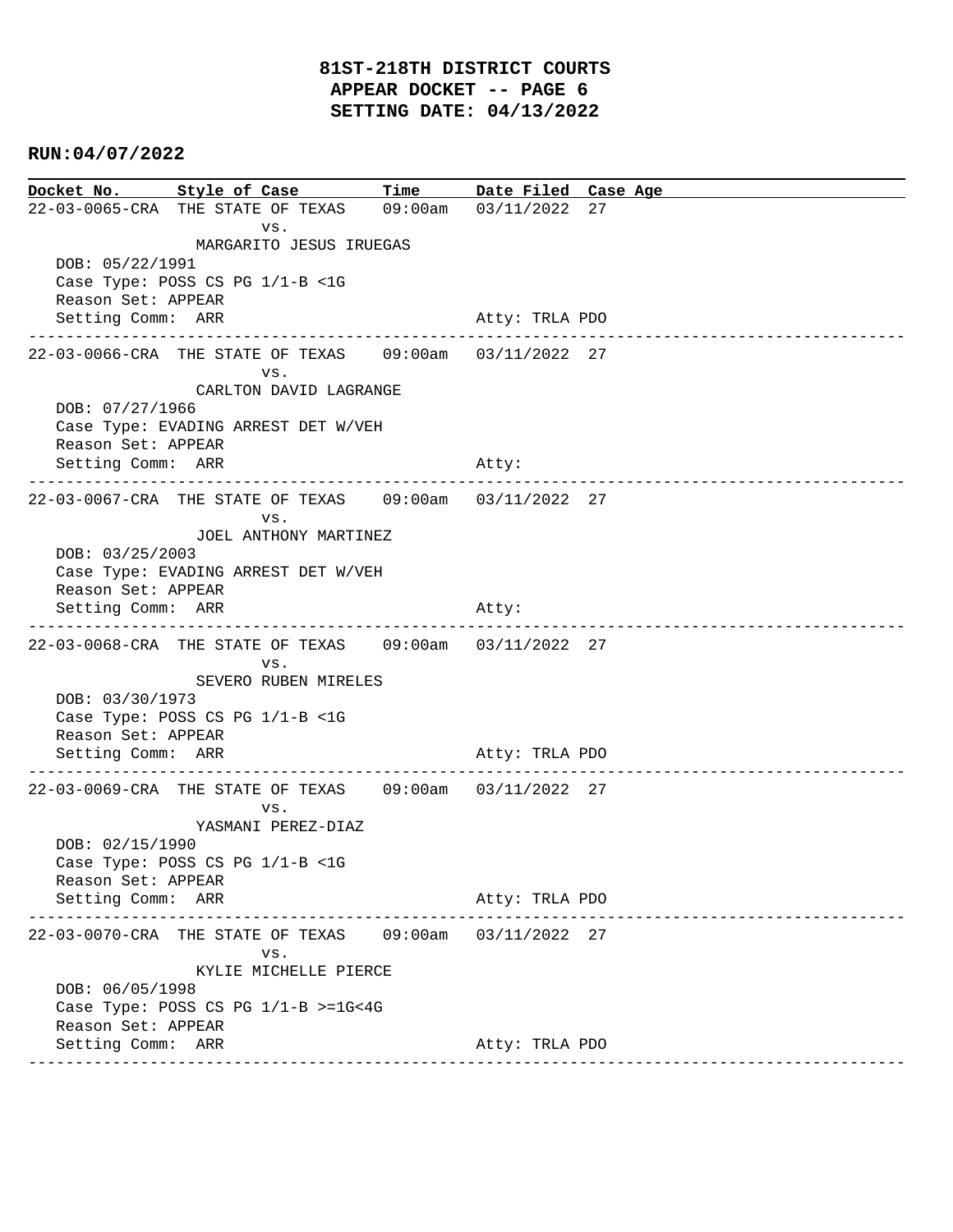**Docket No. Style of Case Time Date Filed Case Age**  22-03-0065-CRA THE STATE OF TEXAS 09:00am 03/11/2022 27 vs. MARGARITO JESUS IRUEGAS DOB: 05/22/1991 Case Type: POSS CS PG 1/1-B <1G Reason Set: APPEAR Setting Comm: ARR Atty: TRLA PDO ---------------------------------------------------------------------------------------------- 22-03-0066-CRA THE STATE OF TEXAS 09:00am 03/11/2022 27 vs. CARLTON DAVID LAGRANGE DOB: 07/27/1966 Case Type: EVADING ARREST DET W/VEH Reason Set: APPEAR Setting Comm: ARR Atty: ---------------------------------------------------------------------------------------------- 22-03-0067-CRA THE STATE OF TEXAS 09:00am 03/11/2022 27 vs. JOEL ANTHONY MARTINEZ DOB: 03/25/2003 Case Type: EVADING ARREST DET W/VEH Reason Set: APPEAR Setting Comm: ARR Atty: ---------------------------------------------------------------------------------------------- 22-03-0068-CRA THE STATE OF TEXAS 09:00am 03/11/2022 27 vs. SEVERO RUBEN MIRELES DOB: 03/30/1973 Case Type: POSS CS PG 1/1-B <1G Reason Set: APPEAR Setting Comm: ARR Atty: TRLA PDO ---------------------------------------------------------------------------------------------- 22-03-0069-CRA THE STATE OF TEXAS 09:00am 03/11/2022 27 vs. YASMANI PEREZ-DIAZ DOB: 02/15/1990 Case Type: POSS CS PG 1/1-B <1G Reason Set: APPEAR Setting Comm: ARR Atty: TRLA PDO ---------------------------------------------------------------------------------------------- 22-03-0070-CRA THE STATE OF TEXAS 09:00am 03/11/2022 27 vs. KYLIE MICHELLE PIERCE DOB: 06/05/1998 Case Type: POSS CS PG 1/1-B >=1G<4G Reason Set: APPEAR Setting Comm: ARR Atty: TRLA PDO ----------------------------------------------------------------------------------------------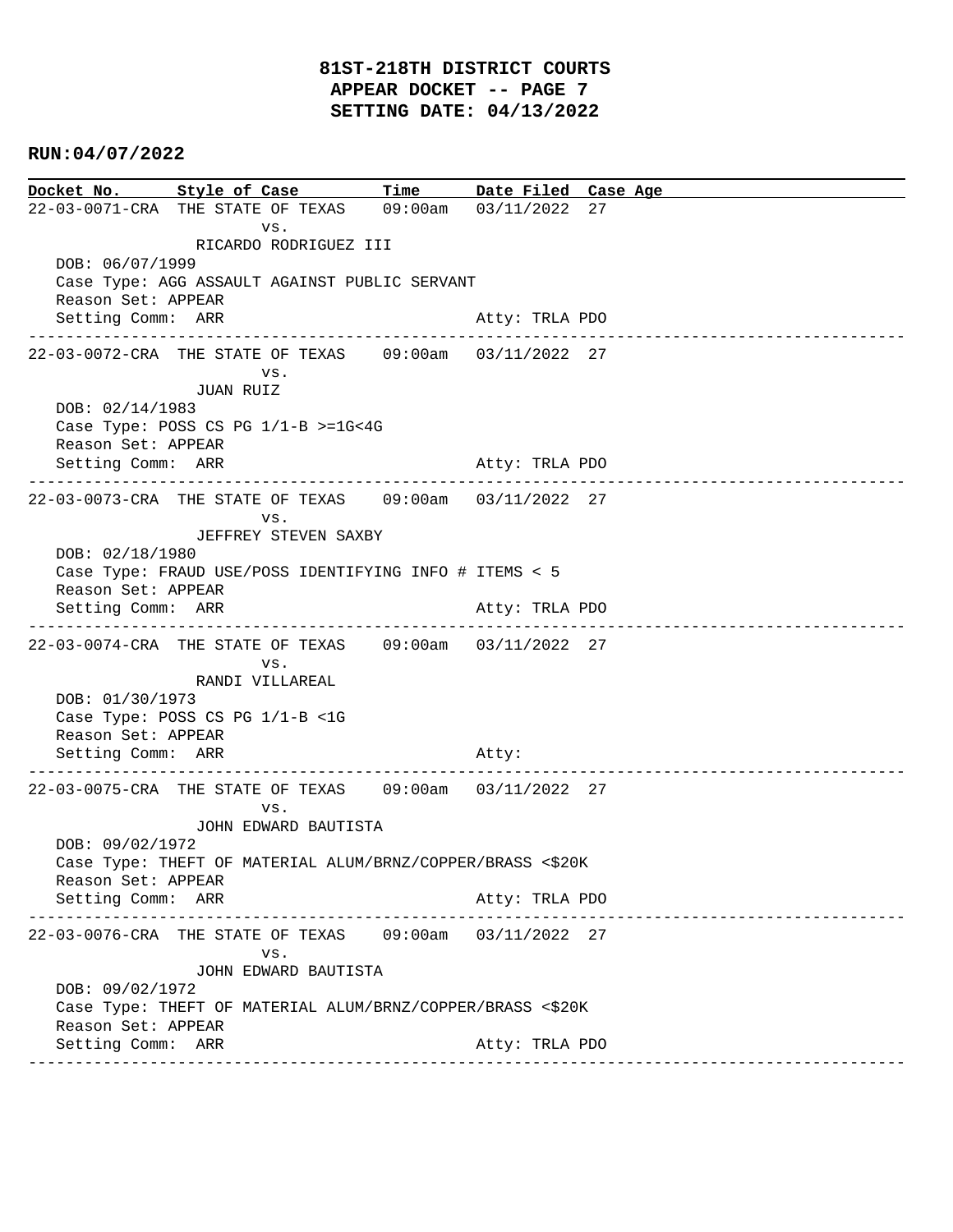**Docket No. Style of Case Time Date Filed Case Age**  22-03-0071-CRA THE STATE OF TEXAS 09:00am 03/11/2022 27 vs. RICARDO RODRIGUEZ III DOB: 06/07/1999 Case Type: AGG ASSAULT AGAINST PUBLIC SERVANT Reason Set: APPEAR Setting Comm: ARR Atty: TRLA PDO ---------------------------------------------------------------------------------------------- 22-03-0072-CRA THE STATE OF TEXAS 09:00am 03/11/2022 27 vs. JUAN RUIZ DOB: 02/14/1983 Case Type: POSS CS PG 1/1-B >=1G<4G Reason Set: APPEAR Setting Comm: ARR Atty: TRLA PDO ---------------------------------------------------------------------------------------------- 22-03-0073-CRA THE STATE OF TEXAS 09:00am 03/11/2022 27 vs. JEFFREY STEVEN SAXBY DOB: 02/18/1980 Case Type: FRAUD USE/POSS IDENTIFYING INFO # ITEMS < 5 Reason Set: APPEAR Setting Comm: ARR Atty: TRLA PDO ---------------------------------------------------------------------------------------------- 22-03-0074-CRA THE STATE OF TEXAS 09:00am 03/11/2022 27 vs. RANDI VILLAREAL DOB: 01/30/1973 Case Type: POSS CS PG 1/1-B <1G Reason Set: APPEAR Setting Comm: ARR Atty: ---------------------------------------------------------------------------------------------- 22-03-0075-CRA THE STATE OF TEXAS 09:00am 03/11/2022 27 vs. JOHN EDWARD BAUTISTA DOB: 09/02/1972 Case Type: THEFT OF MATERIAL ALUM/BRNZ/COPPER/BRASS <\$20K Reason Set: APPEAR Setting Comm: ARR Atty: TRLA PDO ---------------------------------------------------------------------------------------------- 22-03-0076-CRA THE STATE OF TEXAS 09:00am 03/11/2022 27 vs. JOHN EDWARD BAUTISTA DOB: 09/02/1972 Case Type: THEFT OF MATERIAL ALUM/BRNZ/COPPER/BRASS <\$20K Reason Set: APPEAR Setting Comm: ARR Atty: TRLA PDO ----------------------------------------------------------------------------------------------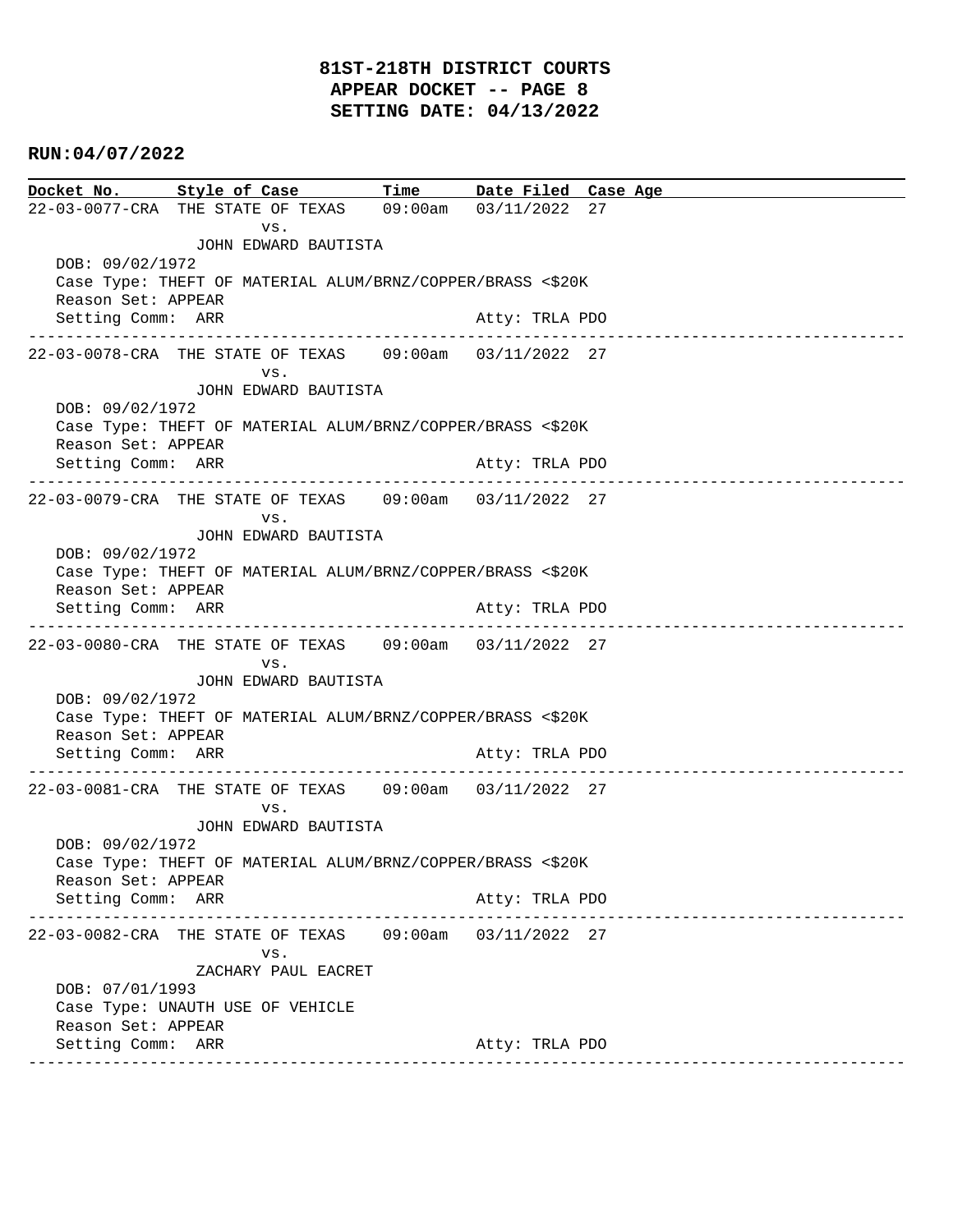# **81ST-218TH DISTRICT COURTS APPEAR DOCKET -- PAGE 8 SETTING DATE: 04/13/2022**

## **RUN:04/07/2022**

| Docket No. Style of Case Time Date Filed Case Age                             |                                                                                  |                                                            |  |                |  |                    |  |  |
|-------------------------------------------------------------------------------|----------------------------------------------------------------------------------|------------------------------------------------------------|--|----------------|--|--------------------|--|--|
| 22-03-0077-CRA THE STATE OF TEXAS 09:00am 03/11/2022 27                       |                                                                                  |                                                            |  |                |  |                    |  |  |
|                                                                               |                                                                                  | VS.                                                        |  |                |  |                    |  |  |
| JOHN EDWARD BAUTISTA                                                          |                                                                                  |                                                            |  |                |  |                    |  |  |
| DOB: 09/02/1972<br>Case Type: THEFT OF MATERIAL ALUM/BRNZ/COPPER/BRASS <\$20K |                                                                                  |                                                            |  |                |  |                    |  |  |
| Reason Set: APPEAR                                                            |                                                                                  |                                                            |  |                |  |                    |  |  |
| Setting Comm: ARR                                                             |                                                                                  |                                                            |  | Atty: TRLA PDO |  |                    |  |  |
|                                                                               |                                                                                  |                                                            |  |                |  |                    |  |  |
| 22-03-0078-CRA THE STATE OF TEXAS 09:00am 03/11/2022 27                       |                                                                                  |                                                            |  |                |  |                    |  |  |
|                                                                               |                                                                                  | VS.                                                        |  |                |  |                    |  |  |
|                                                                               |                                                                                  | JOHN EDWARD BAUTISTA                                       |  |                |  |                    |  |  |
| DOB: 09/02/1972                                                               |                                                                                  |                                                            |  |                |  |                    |  |  |
| Reason Set: APPEAR                                                            |                                                                                  | Case Type: THEFT OF MATERIAL ALUM/BRNZ/COPPER/BRASS <\$20K |  |                |  |                    |  |  |
| Setting Comm: ARR                                                             |                                                                                  |                                                            |  | Atty: TRLA PDO |  |                    |  |  |
|                                                                               |                                                                                  |                                                            |  |                |  |                    |  |  |
| 22-03-0079-CRA THE STATE OF TEXAS 09:00am 03/11/2022 27                       |                                                                                  |                                                            |  |                |  |                    |  |  |
|                                                                               |                                                                                  | VS.                                                        |  |                |  |                    |  |  |
|                                                                               |                                                                                  | JOHN EDWARD BAUTISTA                                       |  |                |  |                    |  |  |
| DOB: 09/02/1972                                                               |                                                                                  |                                                            |  |                |  |                    |  |  |
| Reason Set: APPEAR                                                            |                                                                                  | Case Type: THEFT OF MATERIAL ALUM/BRNZ/COPPER/BRASS <\$20K |  |                |  |                    |  |  |
| Setting Comm: ARR                                                             |                                                                                  |                                                            |  | Atty: TRLA PDO |  |                    |  |  |
|                                                                               |                                                                                  |                                                            |  |                |  |                    |  |  |
| 22-03-0080-CRA THE STATE OF TEXAS 09:00am 03/11/2022 27                       |                                                                                  |                                                            |  |                |  |                    |  |  |
|                                                                               |                                                                                  | VS.                                                        |  |                |  |                    |  |  |
|                                                                               |                                                                                  | JOHN EDWARD BAUTISTA                                       |  |                |  |                    |  |  |
| DOB: 09/02/1972                                                               |                                                                                  |                                                            |  |                |  |                    |  |  |
|                                                                               | Case Type: THEFT OF MATERIAL ALUM/BRNZ/COPPER/BRASS <\$20K<br>Reason Set: APPEAR |                                                            |  |                |  |                    |  |  |
| Setting Comm: ARR                                                             |                                                                                  |                                                            |  | Atty: TRLA PDO |  |                    |  |  |
|                                                                               |                                                                                  | --------------------------------------                     |  |                |  |                    |  |  |
| 22-03-0081-CRA THE STATE OF TEXAS 09:00am 03/11/2022 27                       |                                                                                  |                                                            |  |                |  |                    |  |  |
|                                                                               |                                                                                  | VS.                                                        |  |                |  |                    |  |  |
|                                                                               |                                                                                  | JOHN EDWARD BAUTISTA                                       |  |                |  |                    |  |  |
| DOB: 09/02/1972                                                               |                                                                                  |                                                            |  |                |  |                    |  |  |
| Case Type: THEFT OF MATERIAL ALUM/BRNZ/COPPER/BRASS <\$20K                    |                                                                                  |                                                            |  |                |  |                    |  |  |
| Reason Set: APPEAR<br>Setting Comm: ARR                                       |                                                                                  |                                                            |  | Atty: TRLA PDO |  |                    |  |  |
|                                                                               |                                                                                  |                                                            |  |                |  | ------------------ |  |  |
|                                                                               |                                                                                  |                                                            |  |                |  |                    |  |  |
|                                                                               |                                                                                  | VS.                                                        |  |                |  |                    |  |  |
|                                                                               |                                                                                  | ZACHARY PAUL EACRET                                        |  |                |  |                    |  |  |
| DOB: 07/01/1993                                                               |                                                                                  |                                                            |  |                |  |                    |  |  |
| Reason Set: APPEAR                                                            |                                                                                  | Case Type: UNAUTH USE OF VEHICLE                           |  |                |  |                    |  |  |
| Setting Comm: ARR                                                             |                                                                                  |                                                            |  | Atty: TRLA PDO |  |                    |  |  |
|                                                                               |                                                                                  |                                                            |  |                |  |                    |  |  |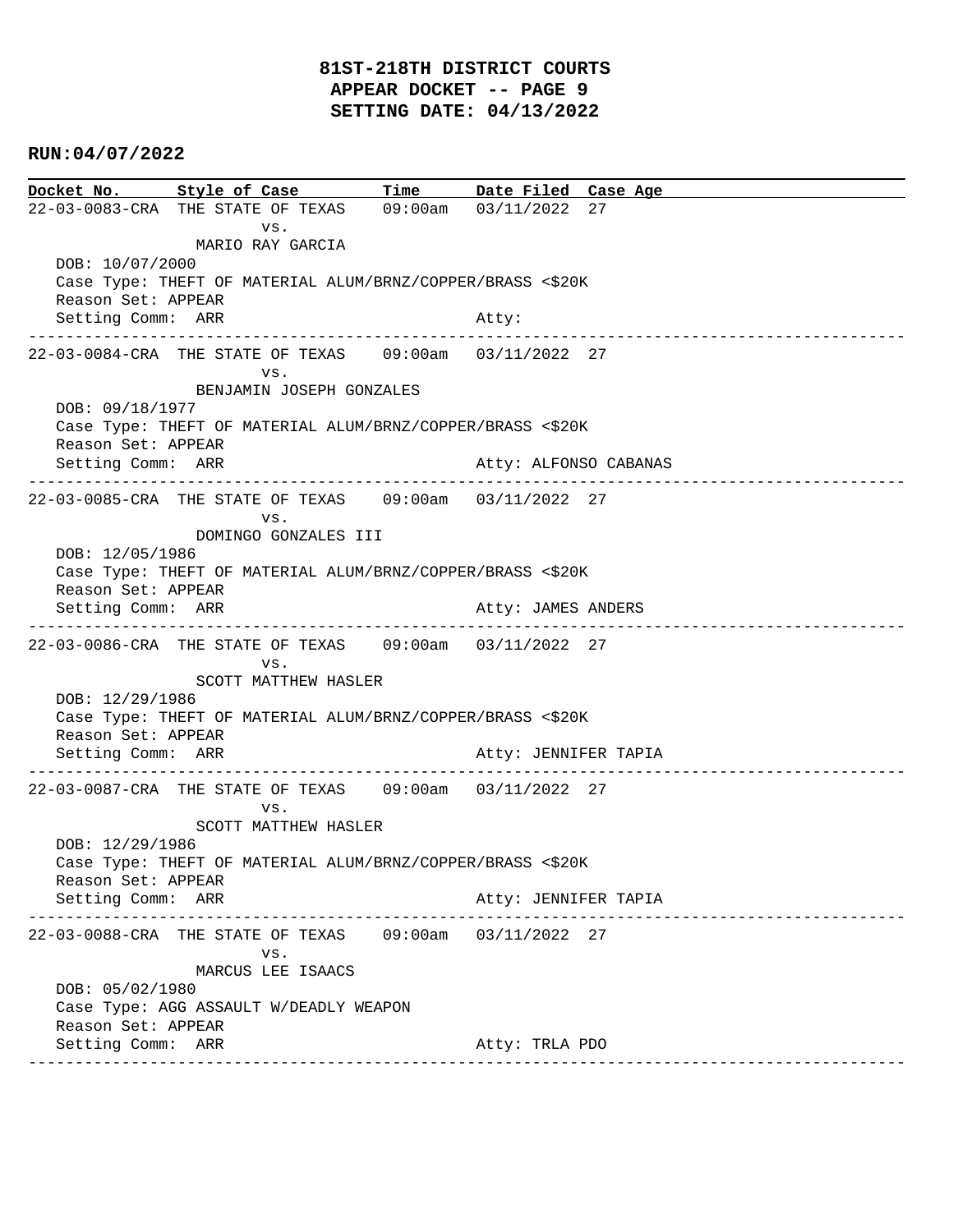# **81ST-218TH DISTRICT COURTS APPEAR DOCKET -- PAGE 9 SETTING DATE: 04/13/2022**

## **RUN:04/07/2022**

|                                                                                  | Docket No. Style of Case Time Date Filed Case Age              |  |                       |                              |  |  |  |
|----------------------------------------------------------------------------------|----------------------------------------------------------------|--|-----------------------|------------------------------|--|--|--|
|                                                                                  | 22-03-0083-CRA THE STATE OF TEXAS 09:00am 03/11/2022 27        |  |                       |                              |  |  |  |
|                                                                                  | VS.                                                            |  |                       |                              |  |  |  |
|                                                                                  | MARIO RAY GARCIA                                               |  |                       |                              |  |  |  |
| DOB: 10/07/2000                                                                  |                                                                |  |                       |                              |  |  |  |
| Case Type: THEFT OF MATERIAL ALUM/BRNZ/COPPER/BRASS <\$20K<br>Reason Set: APPEAR |                                                                |  |                       |                              |  |  |  |
| Setting Comm: ARR                                                                |                                                                |  | Atty:                 |                              |  |  |  |
|                                                                                  |                                                                |  |                       | ______________________       |  |  |  |
|                                                                                  |                                                                |  |                       |                              |  |  |  |
|                                                                                  | VS.                                                            |  |                       |                              |  |  |  |
| BENJAMIN JOSEPH GONZALES<br>DOB: 09/18/1977                                      |                                                                |  |                       |                              |  |  |  |
| Case Type: THEFT OF MATERIAL ALUM/BRNZ/COPPER/BRASS <\$20K                       |                                                                |  |                       |                              |  |  |  |
| Reason Set: APPEAR                                                               |                                                                |  |                       |                              |  |  |  |
| Setting Comm: ARR                                                                |                                                                |  | Atty: ALFONSO CABANAS |                              |  |  |  |
|                                                                                  |                                                                |  |                       |                              |  |  |  |
|                                                                                  | VS.                                                            |  |                       |                              |  |  |  |
|                                                                                  | DOMINGO GONZALES III                                           |  |                       |                              |  |  |  |
| DOB: 12/05/1986                                                                  |                                                                |  |                       |                              |  |  |  |
|                                                                                  | Case Type: THEFT OF MATERIAL ALUM/BRNZ/COPPER/BRASS <\$20K     |  |                       |                              |  |  |  |
| Reason Set: APPEAR<br>Setting Comm: ARR                                          |                                                                |  | Atty: JAMES ANDERS    |                              |  |  |  |
|                                                                                  |                                                                |  |                       |                              |  |  |  |
|                                                                                  | 22-03-0086-CRA THE STATE OF TEXAS 09:00am 03/11/2022 27        |  |                       |                              |  |  |  |
|                                                                                  | VS.                                                            |  |                       |                              |  |  |  |
|                                                                                  | SCOTT MATTHEW HASLER                                           |  |                       |                              |  |  |  |
| DOB: 12/29/1986<br>Case Type: THEFT OF MATERIAL ALUM/BRNZ/COPPER/BRASS <\$20K    |                                                                |  |                       |                              |  |  |  |
| Reason Set: APPEAR                                                               |                                                                |  |                       |                              |  |  |  |
| Setting Comm: ARR                                                                |                                                                |  | Atty: JENNIFER TAPIA  |                              |  |  |  |
|                                                                                  |                                                                |  | --------------        | ---------------------------- |  |  |  |
|                                                                                  | 22-03-0087-CRA THE STATE OF TEXAS 09:00am 03/11/2022 27<br>VS. |  |                       |                              |  |  |  |
|                                                                                  | SCOTT MATTHEW HASLER                                           |  |                       |                              |  |  |  |
| DOB: 12/29/1986                                                                  |                                                                |  |                       |                              |  |  |  |
| Case Type: THEFT OF MATERIAL ALUM/BRNZ/COPPER/BRASS <\$20K                       |                                                                |  |                       |                              |  |  |  |
| Reason Set: APPEAR                                                               |                                                                |  |                       |                              |  |  |  |
| Setting Comm: ARR                                                                | ------------------------------                                 |  | Atty: JENNIFER TAPIA  | ---------------------        |  |  |  |
|                                                                                  |                                                                |  |                       |                              |  |  |  |
|                                                                                  | VS.                                                            |  |                       |                              |  |  |  |
|                                                                                  | MARCUS LEE ISAACS                                              |  |                       |                              |  |  |  |
| DOB: 05/02/1980                                                                  |                                                                |  |                       |                              |  |  |  |
| Reason Set: APPEAR                                                               | Case Type: AGG ASSAULT W/DEADLY WEAPON                         |  |                       |                              |  |  |  |
| Setting Comm: ARR                                                                |                                                                |  | Atty: TRLA PDO        |                              |  |  |  |
|                                                                                  | -------------------------------------                          |  |                       |                              |  |  |  |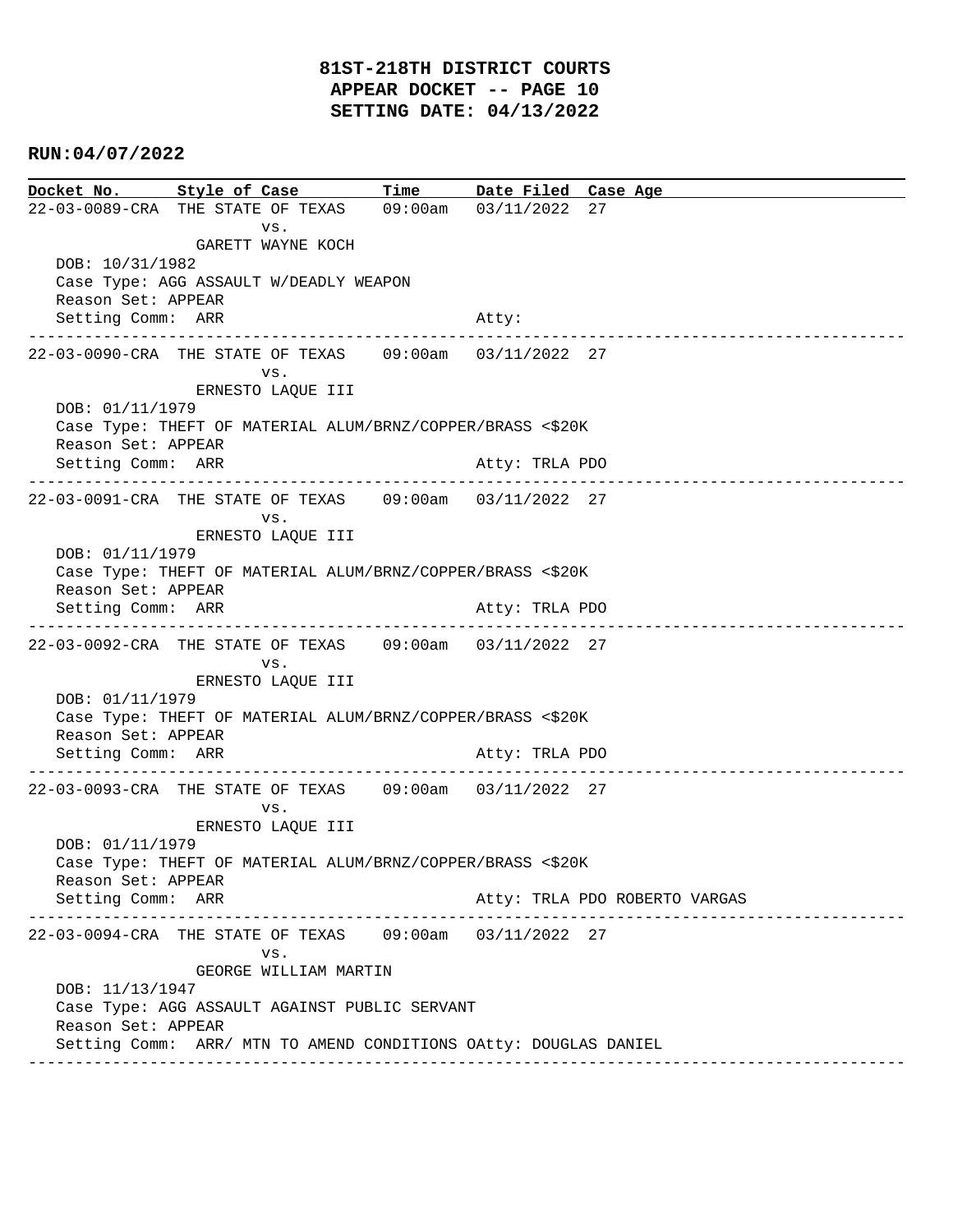**Docket No. Style of Case Time Date Filed Case Age**  22-03-0089-CRA THE STATE OF TEXAS 09:00am 03/11/2022 27 vs. GARETT WAYNE KOCH DOB: 10/31/1982 Case Type: AGG ASSAULT W/DEADLY WEAPON Reason Set: APPEAR Setting Comm: ARR Atty: ---------------------------------------------------------------------------------------------- 22-03-0090-CRA THE STATE OF TEXAS 09:00am 03/11/2022 27 vs. ERNESTO LAQUE III DOB: 01/11/1979 Case Type: THEFT OF MATERIAL ALUM/BRNZ/COPPER/BRASS <\$20K Reason Set: APPEAR Setting Comm: ARR Atty: TRLA PDO ---------------------------------------------------------------------------------------------- 22-03-0091-CRA THE STATE OF TEXAS 09:00am 03/11/2022 27 vs. ERNESTO LAQUE III DOB: 01/11/1979 Case Type: THEFT OF MATERIAL ALUM/BRNZ/COPPER/BRASS <\$20K Reason Set: APPEAR Setting Comm: ARR Atty: TRLA PDO ---------------------------------------------------------------------------------------------- 22-03-0092-CRA THE STATE OF TEXAS 09:00am 03/11/2022 27 vs. ERNESTO LAQUE III DOB: 01/11/1979 Case Type: THEFT OF MATERIAL ALUM/BRNZ/COPPER/BRASS <\$20K Reason Set: APPEAR Setting Comm: ARR Atty: TRLA PDO ---------------------------------------------------------------------------------------------- 22-03-0093-CRA THE STATE OF TEXAS 09:00am 03/11/2022 27 vs. ERNESTO LAQUE III DOB: 01/11/1979 Case Type: THEFT OF MATERIAL ALUM/BRNZ/COPPER/BRASS <\$20K Reason Set: APPEAR Setting Comm: ARR Atty: TRLA PDO ROBERTO VARGAS ---------------------------------------------------------------------------------------------- 22-03-0094-CRA THE STATE OF TEXAS 09:00am 03/11/2022 27 vs. GEORGE WILLIAM MARTIN DOB: 11/13/1947 Case Type: AGG ASSAULT AGAINST PUBLIC SERVANT Reason Set: APPEAR Setting Comm: ARR/ MTN TO AMEND CONDITIONS OAtty: DOUGLAS DANIEL ----------------------------------------------------------------------------------------------